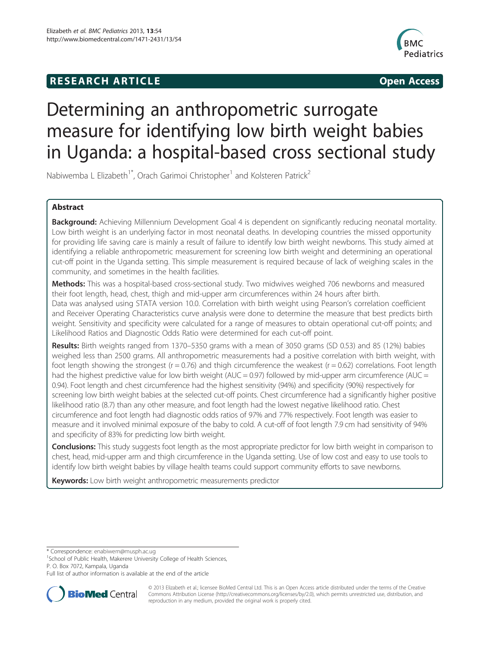# **RESEARCH ARTICLE Example 2014 12:30 The SEAR CHA RESEARCH ARTICLE**



# Determining an anthropometric surrogate measure for identifying low birth weight babies in Uganda: a hospital-based cross sectional study

Nabiwemba L Elizabeth<sup>1\*</sup>, Orach Garimoi Christopher<sup>1</sup> and Kolsteren Patrick<sup>2</sup>

# Abstract

Background: Achieving Millennium Development Goal 4 is dependent on significantly reducing neonatal mortality. Low birth weight is an underlying factor in most neonatal deaths. In developing countries the missed opportunity for providing life saving care is mainly a result of failure to identify low birth weight newborns. This study aimed at identifying a reliable anthropometric measurement for screening low birth weight and determining an operational cut-off point in the Uganda setting. This simple measurement is required because of lack of weighing scales in the community, and sometimes in the health facilities.

Methods: This was a hospital-based cross-sectional study. Two midwives weighed 706 newborns and measured their foot length, head, chest, thigh and mid-upper arm circumferences within 24 hours after birth. Data was analysed using STATA version 10.0. Correlation with birth weight using Pearson's correlation coefficient and Receiver Operating Characteristics curve analysis were done to determine the measure that best predicts birth weight. Sensitivity and specificity were calculated for a range of measures to obtain operational cut-off points; and Likelihood Ratios and Diagnostic Odds Ratio were determined for each cut-off point.

Results: Birth weights ranged from 1370–5350 grams with a mean of 3050 grams (SD 0.53) and 85 (12%) babies weighed less than 2500 grams. All anthropometric measurements had a positive correlation with birth weight, with foot length showing the strongest ( $r = 0.76$ ) and thigh circumference the weakest ( $r = 0.62$ ) correlations. Foot length had the highest predictive value for low birth weight (AUC = 0.97) followed by mid-upper arm circumference (AUC = 0.94). Foot length and chest circumference had the highest sensitivity (94%) and specificity (90%) respectively for screening low birth weight babies at the selected cut-off points. Chest circumference had a significantly higher positive likelihood ratio (8.7) than any other measure, and foot length had the lowest negative likelihood ratio. Chest circumference and foot length had diagnostic odds ratios of 97% and 77% respectively. Foot length was easier to measure and it involved minimal exposure of the baby to cold. A cut-off of foot length 7.9 cm had sensitivity of 94% and specificity of 83% for predicting low birth weight.

**Conclusions:** This study suggests foot length as the most appropriate predictor for low birth weight in comparison to chest, head, mid-upper arm and thigh circumference in the Uganda setting. Use of low cost and easy to use tools to identify low birth weight babies by village health teams could support community efforts to save newborns.

Keywords: Low birth weight anthropometric measurements predictor

\* Correspondence: [enabiwem@musph.ac.ug](mailto:enabiwem@musph.ac.ug) <sup>1</sup>

<sup>1</sup>School of Public Health, Makerere University College of Health Sciences, P. O. Box 7072, Kampala, Uganda

Full list of author information is available at the end of the article



© 2013 Elizabeth et al.; licensee BioMed Central Ltd. This is an Open Access article distributed under the terms of the Creative Commons Attribution License [\(http://creativecommons.org/licenses/by/2.0\)](http://creativecommons.org/licenses/by/2.0), which permits unrestricted use, distribution, and reproduction in any medium, provided the original work is properly cited.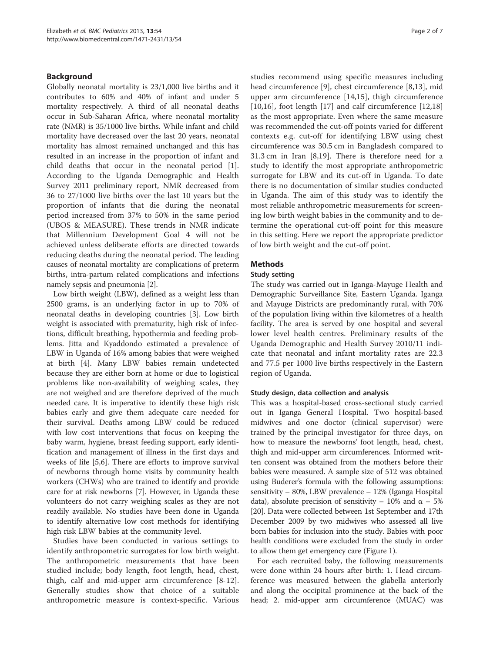# Background

Globally neonatal mortality is 23/1,000 live births and it contributes to 60% and 40% of infant and under 5 mortality respectively. A third of all neonatal deaths occur in Sub-Saharan Africa, where neonatal mortality rate (NMR) is 35/1000 live births. While infant and child mortality have decreased over the last 20 years, neonatal mortality has almost remained unchanged and this has resulted in an increase in the proportion of infant and child deaths that occur in the neonatal period [\[1](#page-5-0)]. According to the Uganda Demographic and Health Survey 2011 preliminary report, NMR decreased from 36 to 27/1000 live births over the last 10 years but the proportion of infants that die during the neonatal period increased from 37% to 50% in the same period (UBOS & MEASURE). These trends in NMR indicate that Millennium Development Goal 4 will not be achieved unless deliberate efforts are directed towards reducing deaths during the neonatal period. The leading causes of neonatal mortality are complications of preterm births, intra-partum related complications and infections namely sepsis and pneumonia [[2\]](#page-5-0).

Low birth weight (LBW), defined as a weight less than 2500 grams, is an underlying factor in up to 70% of neonatal deaths in developing countries [[3\]](#page-5-0). Low birth weight is associated with prematurity, high risk of infections, difficult breathing, hypothermia and feeding problems. Jitta and Kyaddondo estimated a prevalence of LBW in Uganda of 16% among babies that were weighed at birth [\[4](#page-5-0)]. Many LBW babies remain undetected because they are either born at home or due to logistical problems like non-availability of weighing scales, they are not weighed and are therefore deprived of the much needed care. It is imperative to identify these high risk babies early and give them adequate care needed for their survival. Deaths among LBW could be reduced with low cost interventions that focus on keeping the baby warm, hygiene, breast feeding support, early identification and management of illness in the first days and weeks of life [\[5](#page-6-0),[6](#page-6-0)]. There are efforts to improve survival of newborns through home visits by community health workers (CHWs) who are trained to identify and provide care for at risk newborns [\[7\]](#page-6-0). However, in Uganda these volunteers do not carry weighing scales as they are not readily available. No studies have been done in Uganda to identify alternative low cost methods for identifying high risk LBW babies at the community level.

Studies have been conducted in various settings to identify anthropometric surrogates for low birth weight. The anthropometric measurements that have been studied include; body length, foot length, head, chest, thigh, calf and mid-upper arm circumference [\[8-12](#page-6-0)]. Generally studies show that choice of a suitable anthropometric measure is context-specific. Various

studies recommend using specific measures including head circumference [[9](#page-6-0)], chest circumference [[8,13\]](#page-6-0), mid upper arm circumference [\[14](#page-6-0),[15\]](#page-6-0), thigh circumference [[10,16](#page-6-0)], foot length [[17\]](#page-6-0) and calf circumference [[12,18](#page-6-0)] as the most appropriate. Even where the same measure was recommended the cut-off points varied for different contexts e.g. cut-off for identifying LBW using chest circumference was 30.5 cm in Bangladesh compared to 31.3 cm in Iran [\[8](#page-6-0),[19\]](#page-6-0). There is therefore need for a study to identify the most appropriate anthropometric surrogate for LBW and its cut-off in Uganda. To date there is no documentation of similar studies conducted in Uganda. The aim of this study was to identify the most reliable anthropometric measurements for screening low birth weight babies in the community and to determine the operational cut-off point for this measure in this setting. Here we report the appropriate predictor of low birth weight and the cut-off point.

# Methods

# Study setting

The study was carried out in Iganga-Mayuge Health and Demographic Surveillance Site, Eastern Uganda. Iganga and Mayuge Districts are predominantly rural, with 70% of the population living within five kilometres of a health facility. The area is served by one hospital and several lower level health centres. Preliminary results of the Uganda Demographic and Health Survey 2010/11 indicate that neonatal and infant mortality rates are 22.3 and 77.5 per 1000 live births respectively in the Eastern region of Uganda.

# Study design, data collection and analysis

This was a hospital-based cross-sectional study carried out in Iganga General Hospital. Two hospital-based midwives and one doctor (clinical supervisor) were trained by the principal investigator for three days, on how to measure the newborns' foot length, head, chest, thigh and mid-upper arm circumferences. Informed written consent was obtained from the mothers before their babies were measured. A sample size of 512 was obtained using Buderer's formula with the following assumptions: sensitivity – 80%, LBW prevalence – 12% (Iganga Hospital data), absolute precision of sensitivity – 10% and  $\alpha$  – 5% [[20](#page-6-0)]. Data were collected between 1st September and 17th December 2009 by two midwives who assessed all live born babies for inclusion into the study. Babies with poor health conditions were excluded from the study in order to allow them get emergency care (Figure [1\)](#page-2-0).

For each recruited baby, the following measurements were done within 24 hours after birth: 1. Head circumference was measured between the glabella anteriorly and along the occipital prominence at the back of the head; 2. mid-upper arm circumference (MUAC) was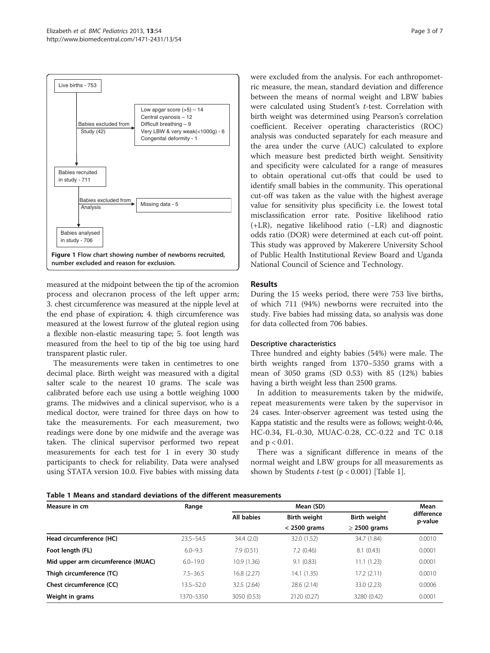<span id="page-2-0"></span>

measured at the midpoint between the tip of the acromion process and olecranon process of the left upper arm; 3. chest circumference was measured at the nipple level at the end phase of expiration; 4. thigh circumference was measured at the lowest furrow of the gluteal region using a flexible non-elastic measuring tape; 5. foot length was measured from the heel to tip of the big toe using hard transparent plastic ruler.

The measurements were taken in centimetres to one decimal place. Birth weight was measured with a digital salter scale to the nearest 10 grams. The scale was calibrated before each use using a bottle weighing 1000 grams. The midwives and a clinical supervisor, who is a medical doctor, were trained for three days on how to take the measurements. For each measurement, two readings were done by one midwife and the average was taken. The clinical supervisor performed two repeat measurements for each test for 1 in every 30 study participants to check for reliability. Data were analysed using STATA version 10.0. Five babies with missing data were excluded from the analysis. For each anthropometric measure, the mean, standard deviation and difference between the means of normal weight and LBW babies were calculated using Student's t-test. Correlation with birth weight was determined using Pearson's correlation coefficient. Receiver operating characteristics (ROC) analysis was conducted separately for each measure and the area under the curve (AUC) calculated to explore which measure best predicted birth weight. Sensitivity and specificity were calculated for a range of measures to obtain operational cut-offs that could be used to identify small babies in the community. This operational cut-off was taken as the value with the highest average value for sensitivity plus specificity i.e. the lowest total misclassification error rate. Positive likelihood ratio (+LR), negative likelihood ratio (−LR) and diagnostic odds ratio (DOR) were determined at each cut-off point. This study was approved by Makerere University School of Public Health Institutional Review Board and Uganda National Council of Science and Technology.

# Results

During the 15 weeks period, there were 753 live births, of which 711 (94%) newborns were recruited into the study. Five babies had missing data, so analysis was done for data collected from 706 babies.

## Descriptive characteristics

Three hundred and eighty babies (54%) were male. The birth weights ranged from 1370–5350 grams with a mean of 3050 grams (SD 0.53) with 85 (12%) babies having a birth weight less than 2500 grams.

In addition to measurements taken by the midwife, repeat measurements were taken by the supervisor in 24 cases. Inter-observer agreement was tested using the Kappa statistic and the results were as follows; weight-0.46, HC-0.34, FL-0.30, MUAC-0.28, CC-0.22 and TC 0.18 and  $p < 0.01$ .

There was a significant difference in means of the normal weight and LBW groups for all measurements as shown by Students  $t$ -test ( $p < 0.001$ ) [Table 1].

|  | Table 1 Means and standard deviations of the different measurements |  |  |
|--|---------------------------------------------------------------------|--|--|
|--|---------------------------------------------------------------------|--|--|

| Measure in cm                      | Range         | Mean (SD)         |                                       |                                          | Mean                  |
|------------------------------------|---------------|-------------------|---------------------------------------|------------------------------------------|-----------------------|
|                                    |               | <b>All babies</b> | <b>Birth weight</b><br>$<$ 2500 grams | <b>Birth weight</b><br>$\geq$ 2500 grams | difference<br>p-value |
|                                    |               |                   |                                       |                                          |                       |
| Head circumference (HC)            | $23.5 - 54.5$ | 34.4(2.0)         | 32.0 (1.52)                           | 34.7 (1.84)                              | 0.0010                |
| Foot length (FL)                   | $6.0 - 9.3$   | 7.9(0.51)         | 7.2(0.46)                             | 8.1(0.43)                                | 0.0001                |
| Mid upper arm circumference (MUAC) | $6.0 - 19.0$  | 10.9(1.36)        | 9.1(0.83)                             | 11.1(1.23)                               | 0.0001                |
| Thigh circumference (TC)           | $7.5 - 36.5$  | 16.8(2.27)        | 14.1 (1.35)                           | 17.2(2.11)                               | 0.0010                |
| Chest circumference (CC)           | $13.5 - 52.0$ | 32.5 (2.64)       | 28.6 (2.14)                           | 33.0 (2.23)                              | 0.0006                |
| Weight in grams                    | 1370-5350     | 3050 (0.53)       | 2120 (0.27)                           | 3280 (0.42)                              | 0.0001                |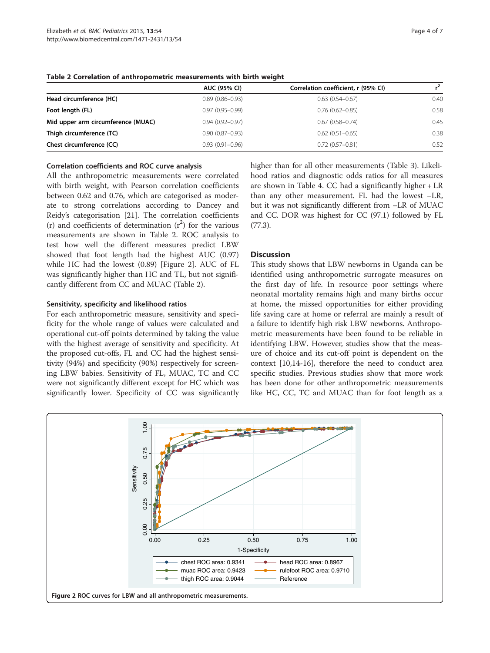|                                    | <b>AUC (95% CI)</b> | Correlation coefficient, r (95% CI) | $r^2$ |
|------------------------------------|---------------------|-------------------------------------|-------|
| Head circumference (HC)            | $0.89(0.86 - 0.93)$ | $0.63(0.54 - 0.67)$                 | 0.40  |
| Foot length (FL)                   | $0.97(0.95 - 0.99)$ | $0.76(0.62 - 0.85)$                 | 0.58  |
| Mid upper arm circumference (MUAC) | $0.94(0.92 - 0.97)$ | $0.67(0.58 - 0.74)$                 | 0.45  |
| Thigh circumference (TC)           | $0.90(0.87 - 0.93)$ | $0.62(0.51 - 0.65)$                 | 0.38  |
| Chest circumference (CC)           | $0.93(0.91 - 0.96)$ | $0.72(0.57 - 0.81)$                 | 0.52  |

Table 2 Correlation of anthropometric measurements with birth weight

# Correlation coefficients and ROC curve analysis

All the anthropometric measurements were correlated with birth weight, with Pearson correlation coefficients between 0.62 and 0.76, which are categorised as moderate to strong correlations according to Dancey and Reidy's categorisation [\[21\]](#page-6-0). The correlation coefficients (r) and coefficients of determination  $(r^2)$  for the various measurements are shown in Table 2. ROC analysis to test how well the different measures predict LBW showed that foot length had the highest AUC (0.97) while HC had the lowest (0.89) [Figure 2]. AUC of FL was significantly higher than HC and TL, but not significantly different from CC and MUAC (Table 2).

#### Sensitivity, specificity and likelihood ratios

For each anthropometric measure, sensitivity and specificity for the whole range of values were calculated and operational cut-off points determined by taking the value with the highest average of sensitivity and specificity. At the proposed cut-offs, FL and CC had the highest sensitivity (94%) and specificity (90%) respectively for screening LBW babies. Sensitivity of FL, MUAC, TC and CC were not significantly different except for HC which was significantly lower. Specificity of CC was significantly higher than for all other measurements (Table [3\)](#page-4-0). Likelihood ratios and diagnostic odds ratios for all measures are shown in Table [4.](#page-4-0) CC had a significantly higher + LR than any other measurement. FL had the lowest –LR, but it was not significantly different from –LR of MUAC and CC. DOR was highest for CC (97.1) followed by FL (77.3).

#### **Discussion**

This study shows that LBW newborns in Uganda can be identified using anthropometric surrogate measures on the first day of life. In resource poor settings where neonatal mortality remains high and many births occur at home, the missed opportunities for either providing life saving care at home or referral are mainly a result of a failure to identify high risk LBW newborns. Anthropometric measurements have been found to be reliable in identifying LBW. However, studies show that the measure of choice and its cut-off point is dependent on the context [[10,14-16](#page-6-0)], therefore the need to conduct area specific studies. Previous studies show that more work has been done for other anthropometric measurements like HC, CC, TC and MUAC than for foot length as a

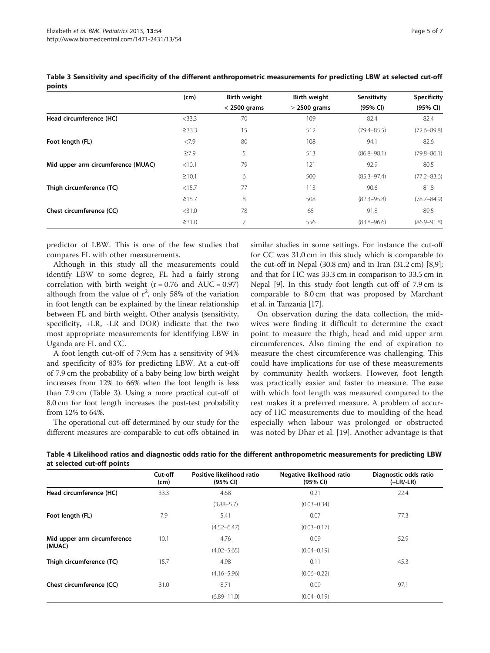|                                    | (cm)        | <b>Birth weight</b> | <b>Birth weight</b> | Sensitivity     | <b>Specificity</b> |
|------------------------------------|-------------|---------------------|---------------------|-----------------|--------------------|
|                                    |             | $<$ 2500 grams      | $\geq$ 2500 grams   | (95% CI)        | (95% CI)           |
| Head circumference (HC)            | $<$ 33.3    | 70                  | 109                 | 82.4            | 82.4               |
|                                    | $\geq$ 33.3 | 15                  | 512                 | $(79.4 - 85.5)$ | $(72.6 - 89.8)$    |
| Foot length (FL)                   | <7.9        | 80                  | 108                 | 94.1            | 82.6               |
|                                    | $\geq 7.9$  | 5                   | 513                 | $(86.8 - 98.1)$ | $(79.8 - 86.1)$    |
| Mid upper arm circumference (MUAC) | < 10.1      | 79                  | 121                 | 92.9            | 80.5               |
|                                    | $\geq 10.1$ | 6                   | 500                 | $(85.3 - 97.4)$ | $(77.2 - 83.6)$    |
| Thigh circumference (TC)           | <15.7       | 77                  | 113                 | 90.6            | 81.8               |
|                                    | $\geq 15.7$ | 8                   | 508                 | $(82.3 - 95.8)$ | $(78.7 - 84.9)$    |
| Chest circumference (CC)           | $<$ 31.0    | 78                  | 65                  | 91.8            | 89.5               |
|                                    | ≥31.0       | 7                   | 556                 | $(83.8 - 96.6)$ | $(86.9 - 91.8)$    |

<span id="page-4-0"></span>Table 3 Sensitivity and specificity of the different anthropometric measurements for predicting LBW at selected cut-off points

predictor of LBW. This is one of the few studies that compares FL with other measurements.

Although in this study all the measurements could identify LBW to some degree, FL had a fairly strong correlation with birth weight ( $r = 0.76$  and  $AUC = 0.97$ ) although from the value of  $r^2$ , only 58% of the variation in foot length can be explained by the linear relationship between FL and birth weight. Other analysis (sensitivity, specificity, +LR, -LR and DOR) indicate that the two most appropriate measurements for identifying LBW in Uganda are FL and CC.

A foot length cut-off of 7.9cm has a sensitivity of 94% and specificity of 83% for predicting LBW. At a cut-off of 7.9 cm the probability of a baby being low birth weight increases from 12% to 66% when the foot length is less than 7.9 cm (Table 3). Using a more practical cut-off of 8.0 cm for foot length increases the post-test probability from 12% to 64%.

The operational cut-off determined by our study for the different measures are comparable to cut-offs obtained in similar studies in some settings. For instance the cut-off for CC was 31.0 cm in this study which is comparable to the cut-off in Nepal  $(30.8 \text{ cm})$  and in Iran  $(31.2 \text{ cm})$   $[8,9]$  $[8,9]$  $[8,9]$ ; and that for HC was 33.3 cm in comparison to 33.5 cm in Nepal [[9\]](#page-6-0). In this study foot length cut-off of 7.9 cm is comparable to 8.0 cm that was proposed by Marchant et al. in Tanzania [\[17\]](#page-6-0).

On observation during the data collection, the midwives were finding it difficult to determine the exact point to measure the thigh, head and mid upper arm circumferences. Also timing the end of expiration to measure the chest circumference was challenging. This could have implications for use of these measurements by community health workers. However, foot length was practically easier and faster to measure. The ease with which foot length was measured compared to the rest makes it a preferred measure. A problem of accuracy of HC measurements due to moulding of the head especially when labour was prolonged or obstructed was noted by Dhar et al. [\[19](#page-6-0)]. Another advantage is that

Table 4 Likelihood ratios and diagnostic odds ratio for the different anthropometric measurements for predicting LBW at selected cut-off points

|                             | Cut-off<br>(cm) | Positive likelihood ratio<br>(95% CI) | Negative likelihood ratio<br>(95% CI) | Diagnostic odds ratio<br>$(+LR/-LR)$ |
|-----------------------------|-----------------|---------------------------------------|---------------------------------------|--------------------------------------|
| Head circumference (HC)     | 33.3            | 4.68                                  | 0.21                                  | 22.4                                 |
|                             |                 | $(3.88 - 5.7)$                        | $(0.03 - 0.34)$                       |                                      |
| Foot length (FL)            | 7.9             | 5.41                                  | 0.07                                  | 77.3                                 |
|                             |                 | $(4.52 - 6.47)$                       | $(0.03 - 0.17)$                       |                                      |
| Mid upper arm circumference | 10.1            | 4.76                                  | 0.09                                  | 52.9                                 |
| (MUAC)                      |                 | $(4.02 - 5.65)$                       | $(0.04 - 0.19)$                       |                                      |
| Thigh circumference (TC)    | 15.7            | 4.98                                  | 0.11                                  | 45.3                                 |
|                             |                 | $(4.16 - 5.96)$                       | $(0.06 - 0.22)$                       |                                      |
| Chest circumference (CC)    | 31.0            | 8.71                                  | 0.09                                  | 97.1                                 |
|                             |                 | $(6.89 - 11.0)$                       | $(0.04 - 0.19)$                       |                                      |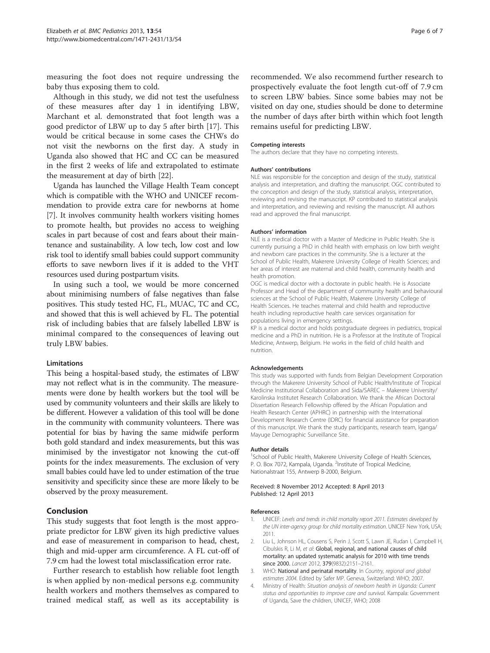<span id="page-5-0"></span>measuring the foot does not require undressing the baby thus exposing them to cold.

Although in this study, we did not test the usefulness of these measures after day 1 in identifying LBW, Marchant et al. demonstrated that foot length was a good predictor of LBW up to day 5 after birth [\[17](#page-6-0)]. This would be critical because in some cases the CHWs do not visit the newborns on the first day. A study in Uganda also showed that HC and CC can be measured in the first 2 weeks of life and extrapolated to estimate the measurement at day of birth [[22](#page-6-0)].

Uganda has launched the Village Health Team concept which is compatible with the WHO and UNICEF recommendation to provide extra care for newborns at home [[7\]](#page-6-0). It involves community health workers visiting homes to promote health, but provides no access to weighing scales in part because of cost and fears about their maintenance and sustainability. A low tech, low cost and low risk tool to identify small babies could support community efforts to save newborn lives if it is added to the VHT resources used during postpartum visits.

In using such a tool, we would be more concerned about minimising numbers of false negatives than false positives. This study tested HC, FL, MUAC, TC and CC, and showed that this is well achieved by FL. The potential risk of including babies that are falsely labelled LBW is minimal compared to the consequences of leaving out truly LBW babies.

#### Limitations

This being a hospital-based study, the estimates of LBW may not reflect what is in the community. The measurements were done by health workers but the tool will be used by community volunteers and their skills are likely to be different. However a validation of this tool will be done in the community with community volunteers. There was potential for bias by having the same midwife perform both gold standard and index measurements, but this was minimised by the investigator not knowing the cut-off points for the index measurements. The exclusion of very small babies could have led to under estimation of the true sensitivity and specificity since these are more likely to be observed by the proxy measurement.

## Conclusion

This study suggests that foot length is the most appropriate predictor for LBW given its high predictive values and ease of measurement in comparison to head, chest, thigh and mid-upper arm circumference. A FL cut-off of 7.9 cm had the lowest total misclassification error rate.

Further research to establish how reliable foot length is when applied by non-medical persons e.g. community health workers and mothers themselves as compared to trained medical staff, as well as its acceptability is recommended. We also recommend further research to prospectively evaluate the foot length cut-off of 7.9 cm to screen LBW babies. Since some babies may not be visited on day one, studies should be done to determine the number of days after birth within which foot length remains useful for predicting LBW.

#### Competing interests

The authors declare that they have no competing interests.

#### Authors' contributions

NLE was responsible for the conception and design of the study, statistical analysis and interpretation, and drafting the manuscript. OGC contributed to the conception and design of the study, statistical analysis, interpretation, reviewing and revising the manuscript. KP contributed to statistical analysis and interpretation, and reviewing and revising the manuscript. All authors read and approved the final manuscript.

#### Authors' information

NLE is a medical doctor with a Master of Medicine in Public Health. She is currently pursuing a PhD in child health with emphasis on low birth weight and newborn care practices in the community. She is a lecturer at the School of Public Health, Makerere University College of Health Sciences; and her areas of interest are maternal and child health, community health and health promotion.

OGC is medical doctor with a doctorate in public health. He is Associate Professor and Head of the department of community health and behavioural sciences at the School of Public Health, Makerere University College of Health Sciences. He teaches maternal and child health and reproductive health including reproductive health care services organisation for populations living in emergency settings.

KP is a medical doctor and holds postgraduate degrees in pediatrics, tropical medicine and a PhD in nutrition. He is a Professor at the Institute of Tropical Medicine, Antwerp, Belgium. He works in the field of child health and nutrition.

#### Acknowledgements

This study was supported with funds from Belgian Development Corporation through the Makerere University School of Public Health/Institute of Tropical Medicine Institutional Collaboration and Sida/SAREC – Makerere University/ Karolinska Institutet Research Collaboration. We thank the African Doctoral Dissertation Research Fellowship offered by the African Population and Health Research Center (APHRC) in partnership with the International Development Research Centre (IDRC) for financial assistance for preparation of this manuscript. We thank the study participants, research team, Iganga/ Mayuge Demographic Surveillance Site.

#### Author details

<sup>1</sup>School of Public Health, Makerere University College of Health Sciences, P. O. Box 7072, Kampala, Uganda. <sup>2</sup>Institute of Tropical Medicine, Nationalstraat 155, Antwerp B-2000, Belgium.

#### Received: 8 November 2012 Accepted: 8 April 2013 Published: 12 April 2013

#### References

- UNICEF: Levels and trends in child mortality report 2011. Estimates developed by the UN inter-agency group for child mortality estimation. UNICEF New York, USA; 2011.
- 2. Liu L, Johnson HL, Cousens S, Perin J, Scott S, Lawn JE, Rudan I, Campbell H, Cibulskis R, Li M, et al: Global, regional, and national causes of child mortality: an updated systematic analysis for 2010 with time trends since 2000. Lancet 2012, 379(9832):2151–2161.
- 3. WHO: National and perinatal mortality. In Country, regional and global estimates 2004. Edited by Safer MP. Geneva, Switzerland: WHO; 2007.
- 4. Ministry of Health: Situation analysis of newborn health in Uganda: Current status and opportunities to improve care and survival. Kampala: Government of Uganda, Save the children, UNICEF, WHO; 2008